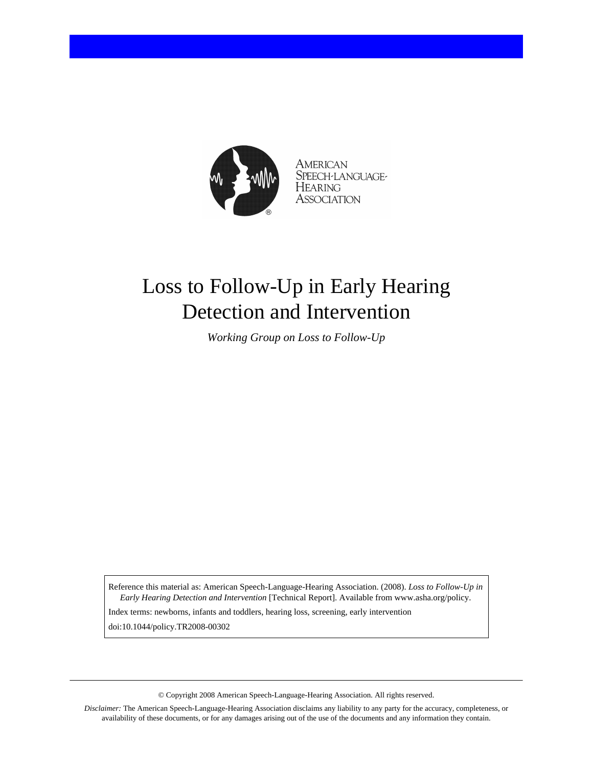

**AMERICAN** SPEECH-LANGUAGE-HEARING Association

# Loss to Follow-Up in Early Hearing Detection and Intervention

*Working Group on Loss to Follow-Up*

Reference this material as: American Speech-Language-Hearing Association. (2008). *Loss to Follow-Up in Early Hearing Detection and Intervention* [Technical Report]. Available from www.asha.org/policy.

Index terms: newborns, infants and toddlers, hearing loss, screening, early intervention doi:10.1044/policy.TR2008-00302

© Copyright 2008 American Speech-Language-Hearing Association. All rights reserved.

*Disclaimer:* The American Speech-Language-Hearing Association disclaims any liability to any party for the accuracy, completeness, or availability of these documents, or for any damages arising out of the use of the documents and any information they contain.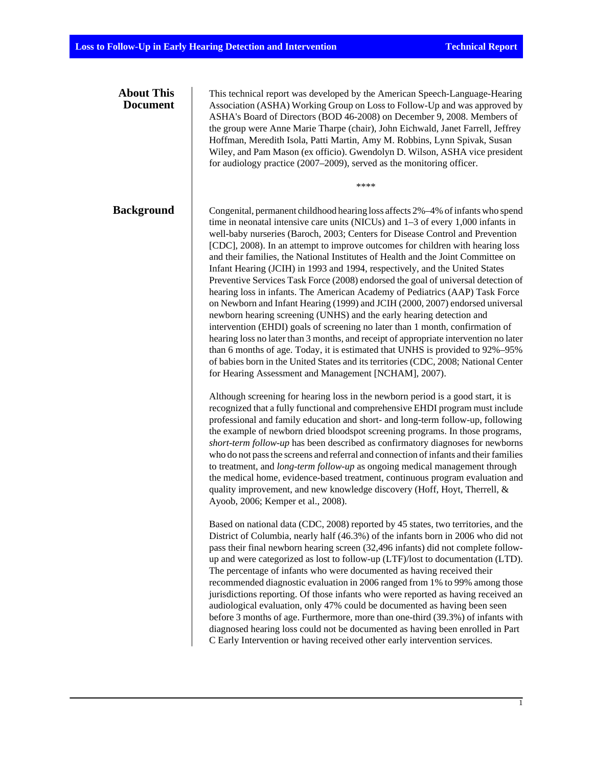| <b>About This</b><br><b>Document</b> | This technical report was developed by the American Speech-Language-Hearing<br>Association (ASHA) Working Group on Loss to Follow-Up and was approved by<br>ASHA's Board of Directors (BOD 46-2008) on December 9, 2008. Members of<br>the group were Anne Marie Tharpe (chair), John Eichwald, Janet Farrell, Jeffrey<br>Hoffman, Meredith Isola, Patti Martin, Amy M. Robbins, Lynn Spivak, Susan<br>Wiley, and Pam Mason (ex officio). Gwendolyn D. Wilson, ASHA vice president<br>for audiology practice (2007–2009), served as the monitoring officer.<br>****                                                                                                                                                                                                                                                                                                                                                                                                                                                                                                                                                                                                                                                                                 |
|--------------------------------------|-----------------------------------------------------------------------------------------------------------------------------------------------------------------------------------------------------------------------------------------------------------------------------------------------------------------------------------------------------------------------------------------------------------------------------------------------------------------------------------------------------------------------------------------------------------------------------------------------------------------------------------------------------------------------------------------------------------------------------------------------------------------------------------------------------------------------------------------------------------------------------------------------------------------------------------------------------------------------------------------------------------------------------------------------------------------------------------------------------------------------------------------------------------------------------------------------------------------------------------------------------|
| <b>Background</b>                    | Congenital, permanent childhood hearing loss affects 2%-4% of infants who spend<br>time in neonatal intensive care units (NICUs) and $1-3$ of every 1,000 infants in<br>well-baby nurseries (Baroch, 2003; Centers for Disease Control and Prevention<br>[CDC], 2008). In an attempt to improve outcomes for children with hearing loss<br>and their families, the National Institutes of Health and the Joint Committee on<br>Infant Hearing (JCIH) in 1993 and 1994, respectively, and the United States<br>Preventive Services Task Force (2008) endorsed the goal of universal detection of<br>hearing loss in infants. The American Academy of Pediatrics (AAP) Task Force<br>on Newborn and Infant Hearing (1999) and JCIH (2000, 2007) endorsed universal<br>newborn hearing screening (UNHS) and the early hearing detection and<br>intervention (EHDI) goals of screening no later than 1 month, confirmation of<br>hearing loss no later than 3 months, and receipt of appropriate intervention no later<br>than 6 months of age. Today, it is estimated that UNHS is provided to 92%-95%<br>of babies born in the United States and its territories (CDC, 2008; National Center<br>for Hearing Assessment and Management [NCHAM], 2007). |
|                                      | Although screening for hearing loss in the newborn period is a good start, it is<br>recognized that a fully functional and comprehensive EHDI program must include<br>professional and family education and short- and long-term follow-up, following<br>the example of newborn dried bloodspot screening programs. In those programs,<br>short-term follow-up has been described as confirmatory diagnoses for newborns<br>who do not pass the screens and referral and connection of infants and their families<br>to treatment, and <i>long-term follow-up</i> as ongoing medical management through<br>the medical home, evidence-based treatment, continuous program evaluation and<br>quality improvement, and new knowledge discovery (Hoff, Hoyt, Therrell, &<br>Ayoob, 2006; Kemper et al., 2008).                                                                                                                                                                                                                                                                                                                                                                                                                                         |
|                                      | Based on national data (CDC, 2008) reported by 45 states, two territories, and the<br>District of Columbia, nearly half (46.3%) of the infants born in 2006 who did not<br>pass their final newborn hearing screen (32,496 infants) did not complete follow-<br>up and were categorized as lost to follow-up (LTF)/lost to documentation (LTD).<br>The percentage of infants who were documented as having received their<br>recommended diagnostic evaluation in 2006 ranged from 1% to 99% among those<br>jurisdictions reporting. Of those infants who were reported as having received an<br>audiological evaluation, only 47% could be documented as having been seen<br>before 3 months of age. Furthermore, more than one-third (39.3%) of infants with<br>diagnosed hearing loss could not be documented as having been enrolled in Part<br>C Early Intervention or having received other early intervention services.                                                                                                                                                                                                                                                                                                                      |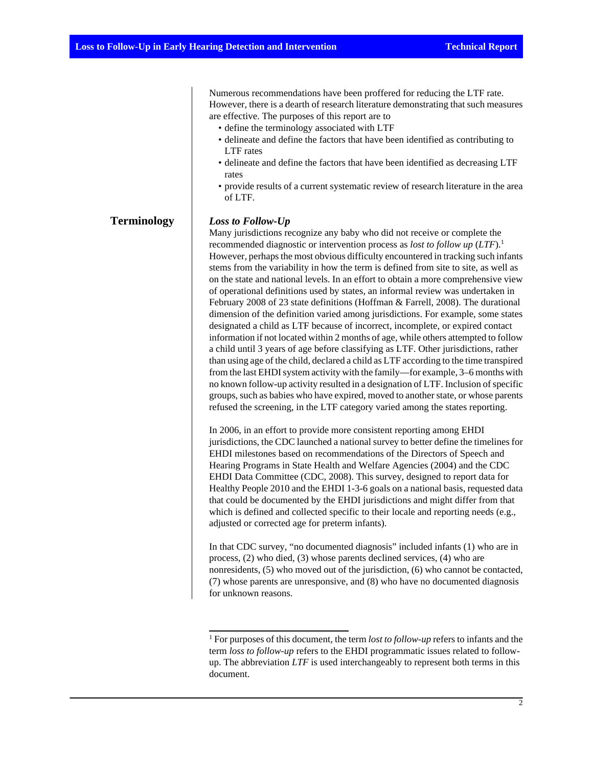Numerous recommendations have been proffered for reducing the LTF rate. However, there is a dearth of research literature demonstrating that such measures are effective. The purposes of this report are to

- define the terminology associated with LTF
- delineate and define the factors that have been identified as contributing to LTF rates
- delineate and define the factors that have been identified as decreasing LTF rates
- provide results of a current systematic review of research literature in the area of LTF.

# **Terminology** *Loss to Follow-Up*

Many jurisdictions recognize any baby who did not receive or complete the recommended diagnostic or intervention process as *lost to follow up* (*LTF*).<sup>1</sup> However, perhaps the most obvious difficulty encountered in tracking such infants stems from the variability in how the term is defined from site to site, as well as on the state and national levels. In an effort to obtain a more comprehensive view of operational definitions used by states, an informal review was undertaken in February 2008 of 23 state definitions (Hoffman & Farrell, 2008). The durational dimension of the definition varied among jurisdictions. For example, some states designated a child as LTF because of incorrect, incomplete, or expired contact information if not located within 2 months of age, while others attempted to follow a child until 3 years of age before classifying as LTF. Other jurisdictions, rather than using age of the child, declared a child as LTF according to the time transpired from the last EHDI system activity with the family—for example, 3–6 months with no known follow-up activity resulted in a designation of LTF. Inclusion of specific groups, such as babies who have expired, moved to another state, or whose parents refused the screening, in the LTF category varied among the states reporting.

In 2006, in an effort to provide more consistent reporting among EHDI jurisdictions, the CDC launched a national survey to better define the timelines for EHDI milestones based on recommendations of the Directors of Speech and Hearing Programs in State Health and Welfare Agencies (2004) and the CDC EHDI Data Committee (CDC, 2008). This survey, designed to report data for Healthy People 2010 and the EHDI 1-3-6 goals on a national basis, requested data that could be documented by the EHDI jurisdictions and might differ from that which is defined and collected specific to their locale and reporting needs (e.g., adjusted or corrected age for preterm infants).

In that CDC survey, "no documented diagnosis" included infants (1) who are in process, (2) who died, (3) whose parents declined services, (4) who are nonresidents, (5) who moved out of the jurisdiction, (6) who cannot be contacted, (7) whose parents are unresponsive, and (8) who have no documented diagnosis for unknown reasons.

<sup>&</sup>lt;sup>1</sup> For purposes of this document, the term *lost to follow-up* refers to infants and the term *loss to follow-up* refers to the EHDI programmatic issues related to followup. The abbreviation *LTF* is used interchangeably to represent both terms in this document.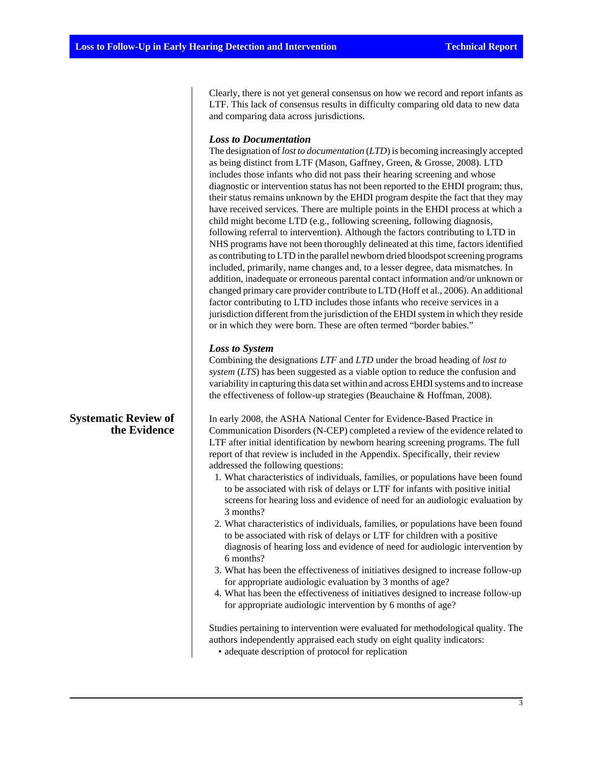Clearly, there is not yet general consensus on how we record and report infants as LTF. This lack of consensus results in difficulty comparing old data to new data and comparing data across jurisdictions.

### *Loss to Documentation*

The designation of *lost to documentation* (*LTD*) is becoming increasingly accepted as being distinct from LTF (Mason, Gaffney, Green, & Grosse, 2008). LTD includes those infants who did not pass their hearing screening and whose diagnostic or intervention status has not been reported to the EHDI program; thus, their status remains unknown by the EHDI program despite the fact that they may have received services. There are multiple points in the EHDI process at which a child might become LTD (e.g., following screening, following diagnosis, following referral to intervention). Although the factors contributing to LTD in NHS programs have not been thoroughly delineated at this time, factors identified as contributing to LTD in the parallel newborn dried bloodspot screening programs included, primarily, name changes and, to a lesser degree, data mismatches. In addition, inadequate or erroneous parental contact information and/or unknown or changed primary care provider contribute to LTD (Hoff et al., 2006). An additional factor contributing to LTD includes those infants who receive services in a jurisdiction different from the jurisdiction of the EHDI system in which they reside or in which they were born. These are often termed "border babies."

#### *Loss to System*

Combining the designations *LTF* and *LTD* under the broad heading of *lost to system* (*LTS*) has been suggested as a viable option to reduce the confusion and variability in capturing this data set within and across EHDI systems and to increase the effectiveness of follow-up strategies (Beauchaine & Hoffman, 2008).

In early 2008, the ASHA National Center for Evidence-Based Practice in Communication Disorders (N-CEP) completed a review of the evidence related to LTF after initial identification by newborn hearing screening programs. The full report of that review is included in the Appendix. Specifically, their review addressed the following questions:

- 1. What characteristics of individuals, families, or populations have been found to be associated with risk of delays or LTF for infants with positive initial screens for hearing loss and evidence of need for an audiologic evaluation by 3 months?
- 2. What characteristics of individuals, families, or populations have been found to be associated with risk of delays or LTF for children with a positive diagnosis of hearing loss and evidence of need for audiologic intervention by 6 months?
- 3. What has been the effectiveness of initiatives designed to increase follow-up for appropriate audiologic evaluation by 3 months of age?
- 4. What has been the effectiveness of initiatives designed to increase follow-up for appropriate audiologic intervention by 6 months of age?

Studies pertaining to intervention were evaluated for methodological quality. The authors independently appraised each study on eight quality indicators:

• adequate description of protocol for replication

## **Systematic Review of the Evidence**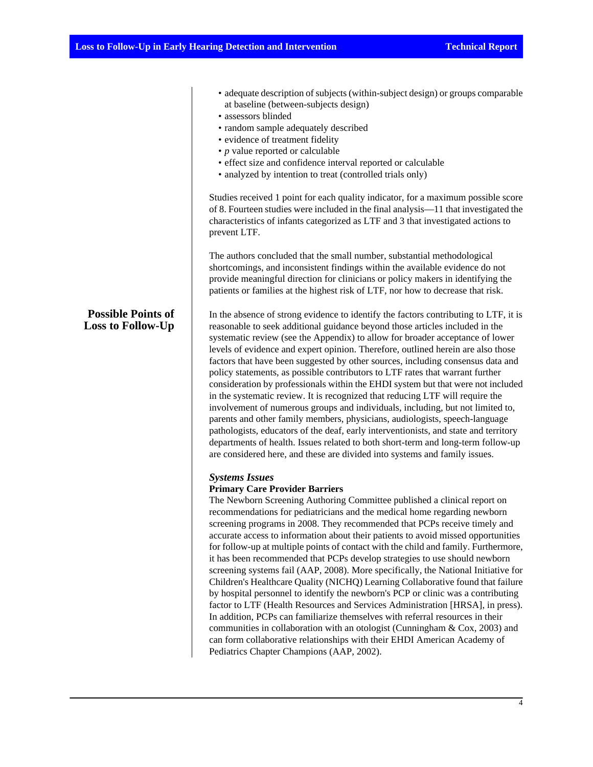**Possible Points of Loss to Follow-Up**

- adequate description of subjects (within-subject design) or groups comparable at baseline (between-subjects design)
- assessors blinded
- random sample adequately described
- evidence of treatment fidelity
- *p* value reported or calculable
- effect size and confidence interval reported or calculable
- analyzed by intention to treat (controlled trials only)

Studies received 1 point for each quality indicator, for a maximum possible score of 8. Fourteen studies were included in the final analysis—11 that investigated the characteristics of infants categorized as LTF and 3 that investigated actions to prevent LTF.

The authors concluded that the small number, substantial methodological shortcomings, and inconsistent findings within the available evidence do not provide meaningful direction for clinicians or policy makers in identifying the patients or families at the highest risk of LTF, nor how to decrease that risk.

In the absence of strong evidence to identify the factors contributing to LTF, it is reasonable to seek additional guidance beyond those articles included in the systematic review (see the Appendix) to allow for broader acceptance of lower levels of evidence and expert opinion. Therefore, outlined herein are also those factors that have been suggested by other sources, including consensus data and policy statements, as possible contributors to LTF rates that warrant further consideration by professionals within the EHDI system but that were not included in the systematic review. It is recognized that reducing LTF will require the involvement of numerous groups and individuals, including, but not limited to, parents and other family members, physicians, audiologists, speech-language pathologists, educators of the deaf, early interventionists, and state and territory departments of health. Issues related to both short-term and long-term follow-up are considered here, and these are divided into systems and family issues.

#### *Systems Issues*

#### **Primary Care Provider Barriers**

The Newborn Screening Authoring Committee published a clinical report on recommendations for pediatricians and the medical home regarding newborn screening programs in 2008. They recommended that PCPs receive timely and accurate access to information about their patients to avoid missed opportunities for follow-up at multiple points of contact with the child and family. Furthermore, it has been recommended that PCPs develop strategies to use should newborn screening systems fail (AAP, 2008). More specifically, the National Initiative for Children's Healthcare Quality (NICHQ) Learning Collaborative found that failure by hospital personnel to identify the newborn's PCP or clinic was a contributing factor to LTF (Health Resources and Services Administration [HRSA], in press). In addition, PCPs can familiarize themselves with referral resources in their communities in collaboration with an otologist (Cunningham & Cox, 2003) and can form collaborative relationships with their EHDI American Academy of Pediatrics Chapter Champions (AAP, 2002).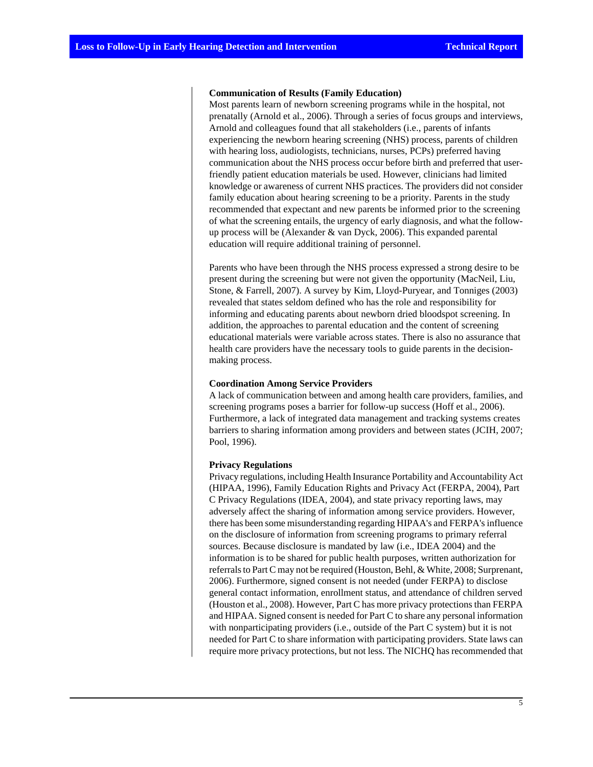#### **Communication of Results (Family Education)**

Most parents learn of newborn screening programs while in the hospital, not prenatally (Arnold et al., 2006). Through a series of focus groups and interviews, Arnold and colleagues found that all stakeholders (i.e., parents of infants experiencing the newborn hearing screening (NHS) process, parents of children with hearing loss, audiologists, technicians, nurses, PCPs) preferred having communication about the NHS process occur before birth and preferred that userfriendly patient education materials be used. However, clinicians had limited knowledge or awareness of current NHS practices. The providers did not consider family education about hearing screening to be a priority. Parents in the study recommended that expectant and new parents be informed prior to the screening of what the screening entails, the urgency of early diagnosis, and what the followup process will be (Alexander & van Dyck, 2006). This expanded parental education will require additional training of personnel.

Parents who have been through the NHS process expressed a strong desire to be present during the screening but were not given the opportunity (MacNeil, Liu, Stone, & Farrell, 2007). A survey by Kim, Lloyd-Puryear, and Tonniges (2003) revealed that states seldom defined who has the role and responsibility for informing and educating parents about newborn dried bloodspot screening. In addition, the approaches to parental education and the content of screening educational materials were variable across states. There is also no assurance that health care providers have the necessary tools to guide parents in the decisionmaking process.

#### **Coordination Among Service Providers**

A lack of communication between and among health care providers, families, and screening programs poses a barrier for follow-up success (Hoff et al., 2006). Furthermore, a lack of integrated data management and tracking systems creates barriers to sharing information among providers and between states (JCIH, 2007; Pool, 1996).

#### **Privacy Regulations**

Privacy regulations, including Health Insurance Portability and Accountability Act (HIPAA, 1996), Family Education Rights and Privacy Act (FERPA, 2004), Part C Privacy Regulations (IDEA, 2004), and state privacy reporting laws, may adversely affect the sharing of information among service providers. However, there has been some misunderstanding regarding HIPAA's and FERPA's influence on the disclosure of information from screening programs to primary referral sources. Because disclosure is mandated by law (i.e., IDEA 2004) and the information is to be shared for public health purposes, written authorization for referrals to Part C may not be required (Houston, Behl, & White, 2008; Surprenant, 2006). Furthermore, signed consent is not needed (under FERPA) to disclose general contact information, enrollment status, and attendance of children served (Houston et al., 2008). However, Part C has more privacy protections than FERPA and HIPAA. Signed consent is needed for Part C to share any personal information with nonparticipating providers (i.e., outside of the Part C system) but it is not needed for Part C to share information with participating providers. State laws can require more privacy protections, but not less. The NICHQ has recommended that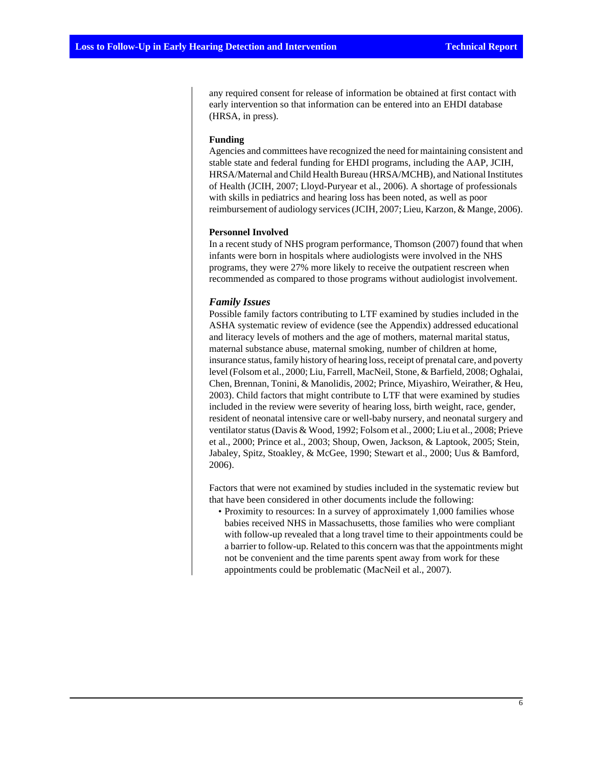any required consent for release of information be obtained at first contact with early intervention so that information can be entered into an EHDI database (HRSA, in press).

#### **Funding**

Agencies and committees have recognized the need for maintaining consistent and stable state and federal funding for EHDI programs, including the AAP, JCIH, HRSA/Maternal and Child Health Bureau (HRSA/MCHB), and National Institutes of Health (JCIH, 2007; Lloyd-Puryear et al., 2006). A shortage of professionals with skills in pediatrics and hearing loss has been noted, as well as poor reimbursement of audiology services (JCIH, 2007; Lieu, Karzon, & Mange, 2006).

#### **Personnel Involved**

In a recent study of NHS program performance, Thomson (2007) found that when infants were born in hospitals where audiologists were involved in the NHS programs, they were 27% more likely to receive the outpatient rescreen when recommended as compared to those programs without audiologist involvement.

#### *Family Issues*

Possible family factors contributing to LTF examined by studies included in the ASHA systematic review of evidence (see the Appendix) addressed educational and literacy levels of mothers and the age of mothers, maternal marital status, maternal substance abuse, maternal smoking, number of children at home, insurance status, family history of hearing loss, receipt of prenatal care, and poverty level (Folsom et al., 2000; Liu, Farrell, MacNeil, Stone, & Barfield, 2008; Oghalai, Chen, Brennan, Tonini, & Manolidis, 2002; Prince, Miyashiro, Weirather, & Heu, 2003). Child factors that might contribute to LTF that were examined by studies included in the review were severity of hearing loss, birth weight, race, gender, resident of neonatal intensive care or well-baby nursery, and neonatal surgery and ventilator status (Davis & Wood, 1992; Folsom et al., 2000; Liu et al., 2008; Prieve et al., 2000; Prince et al., 2003; Shoup, Owen, Jackson, & Laptook, 2005; Stein, Jabaley, Spitz, Stoakley, & McGee, 1990; Stewart et al., 2000; Uus & Bamford, 2006).

Factors that were not examined by studies included in the systematic review but that have been considered in other documents include the following:

• Proximity to resources: In a survey of approximately 1,000 families whose babies received NHS in Massachusetts, those families who were compliant with follow-up revealed that a long travel time to their appointments could be a barrier to follow-up. Related to this concern was that the appointments might not be convenient and the time parents spent away from work for these appointments could be problematic (MacNeil et al., 2007).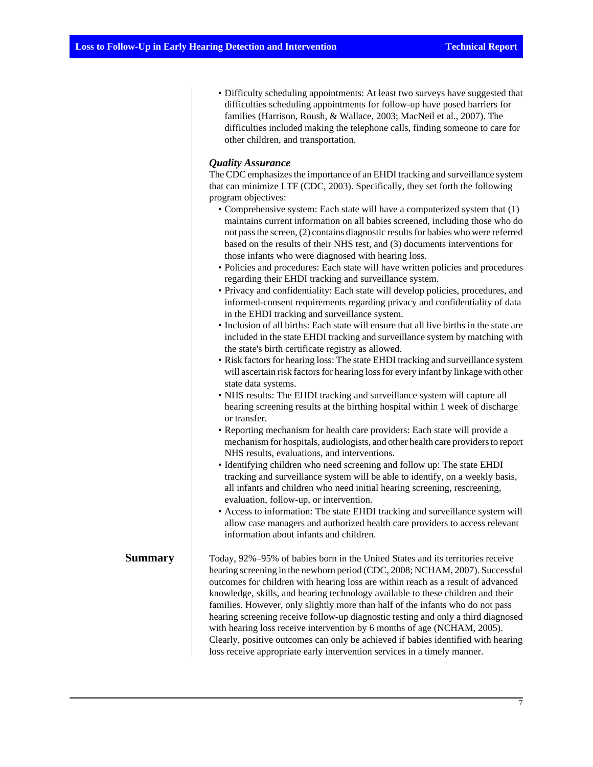• Difficulty scheduling appointments: At least two surveys have suggested that difficulties scheduling appointments for follow-up have posed barriers for families (Harrison, Roush, & Wallace, 2003; MacNeil et al., 2007). The difficulties included making the telephone calls, finding someone to care for other children, and transportation.

#### *Quality Assurance*

The CDC emphasizes the importance of an EHDI tracking and surveillance system that can minimize LTF (CDC, 2003). Specifically, they set forth the following program objectives:

- Comprehensive system: Each state will have a computerized system that (1) maintains current information on all babies screened, including those who do not pass the screen, (2) contains diagnostic results for babies who were referred based on the results of their NHS test, and (3) documents interventions for those infants who were diagnosed with hearing loss.
- Policies and procedures: Each state will have written policies and procedures regarding their EHDI tracking and surveillance system.
- Privacy and confidentiality: Each state will develop policies, procedures, and informed-consent requirements regarding privacy and confidentiality of data in the EHDI tracking and surveillance system.
- Inclusion of all births: Each state will ensure that all live births in the state are included in the state EHDI tracking and surveillance system by matching with the state's birth certificate registry as allowed.
- Risk factors for hearing loss: The state EHDI tracking and surveillance system will ascertain risk factors for hearing loss for every infant by linkage with other state data systems.
- NHS results: The EHDI tracking and surveillance system will capture all hearing screening results at the birthing hospital within 1 week of discharge or transfer.
- Reporting mechanism for health care providers: Each state will provide a mechanism for hospitals, audiologists, and other health care providers to report NHS results, evaluations, and interventions.
- Identifying children who need screening and follow up: The state EHDI tracking and surveillance system will be able to identify, on a weekly basis, all infants and children who need initial hearing screening, rescreening, evaluation, follow-up, or intervention.
- Access to information: The state EHDI tracking and surveillance system will allow case managers and authorized health care providers to access relevant information about infants and children.

**Summary** Today, 92%–95% of babies born in the United States and its territories receive hearing screening in the newborn period (CDC, 2008; NCHAM, 2007). Successful outcomes for children with hearing loss are within reach as a result of advanced knowledge, skills, and hearing technology available to these children and their families. However, only slightly more than half of the infants who do not pass hearing screening receive follow-up diagnostic testing and only a third diagnosed with hearing loss receive intervention by 6 months of age (NCHAM, 2005). Clearly, positive outcomes can only be achieved if babies identified with hearing loss receive appropriate early intervention services in a timely manner.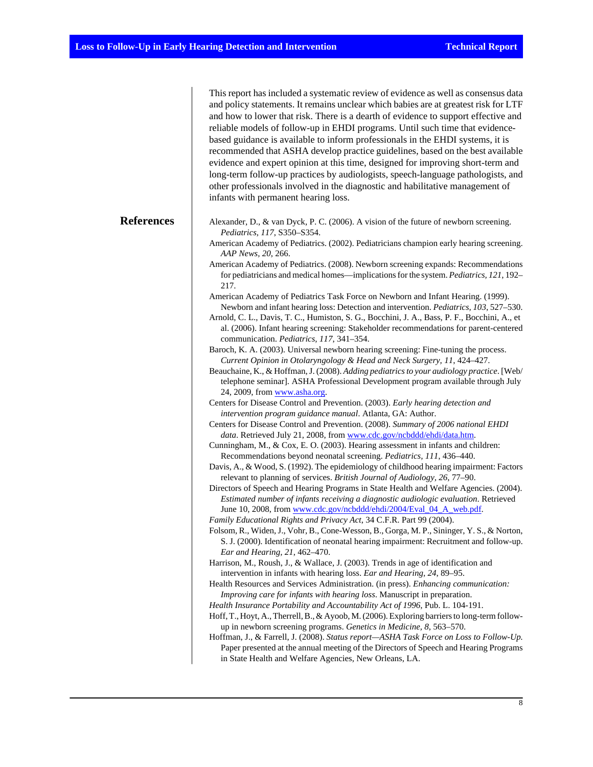|                   | This report has included a systematic review of evidence as well as consensus data<br>and policy statements. It remains unclear which babies are at greatest risk for LTF<br>and how to lower that risk. There is a dearth of evidence to support effective and<br>reliable models of follow-up in EHDI programs. Until such time that evidence-<br>based guidance is available to inform professionals in the EHDI systems, it is<br>recommended that ASHA develop practice guidelines, based on the best available<br>evidence and expert opinion at this time, designed for improving short-term and<br>long-term follow-up practices by audiologists, speech-language pathologists, and<br>other professionals involved in the diagnostic and habilitative management of<br>infants with permanent hearing loss.                 |
|-------------------|--------------------------------------------------------------------------------------------------------------------------------------------------------------------------------------------------------------------------------------------------------------------------------------------------------------------------------------------------------------------------------------------------------------------------------------------------------------------------------------------------------------------------------------------------------------------------------------------------------------------------------------------------------------------------------------------------------------------------------------------------------------------------------------------------------------------------------------|
| <b>References</b> | Alexander, D., & van Dyck, P. C. (2006). A vision of the future of newborn screening.<br>Pediatrics, 117, S350-S354.<br>American Academy of Pediatrics. (2002). Pediatricians champion early hearing screening.<br>AAP News, 20, 266.<br>American Academy of Pediatrics. (2008). Newborn screening expands: Recommendations<br>for pediatricians and medical homes—implications for the system. Pediatrics, 121, 192-<br>217.                                                                                                                                                                                                                                                                                                                                                                                                        |
|                   | American Academy of Pediatrics Task Force on Newborn and Infant Hearing. (1999).<br>Newborn and infant hearing loss: Detection and intervention. Pediatrics, 103, 527-530.<br>Arnold, C. L., Davis, T. C., Humiston, S. G., Bocchini, J. A., Bass, P. F., Bocchini, A., et<br>al. (2006). Infant hearing screening: Stakeholder recommendations for parent-centered<br>communication. Pediatrics, 117, 341-354.<br>Baroch, K. A. (2003). Universal newborn hearing screening: Fine-tuning the process.<br>Current Opinion in Otolaryngology & Head and Neck Surgery, 11, 424-427.<br>Beauchaine, K., & Hoffman, J. (2008). Adding pediatrics to your audiology practice. [Web/<br>telephone seminar]. ASHA Professional Development program available through July                                                                   |
|                   | 24, 2009, from www.asha.org.<br>Centers for Disease Control and Prevention. (2003). Early hearing detection and<br>intervention program guidance manual. Atlanta, GA: Author.<br>Centers for Disease Control and Prevention. (2008). Summary of 2006 national EHDI<br>data. Retrieved July 21, 2008, from www.cdc.gov/ncbddd/ehdi/data.htm.<br>Cunningham, M., & Cox, E. O. (2003). Hearing assessment in infants and children:<br>Recommendations beyond neonatal screening. Pediatrics, 111, 436-440.<br>Davis, A., & Wood, S. (1992). The epidemiology of childhood hearing impairment: Factors<br>relevant to planning of services. British Journal of Audiology, 26, 77-90.                                                                                                                                                     |
|                   | Directors of Speech and Hearing Programs in State Health and Welfare Agencies. (2004).<br>Estimated number of infants receiving a diagnostic audiologic evaluation. Retrieved<br>June 10, 2008, from www.cdc.gov/ncbddd/ehdi/2004/Eval_04_A_web.pdf.<br>Family Educational Rights and Privacy Act, 34 C.F.R. Part 99 (2004).<br>Folsom, R., Widen, J., Vohr, B., Cone-Wesson, B., Gorga, M. P., Sininger, Y. S., & Norton,<br>S. J. (2000). Identification of neonatal hearing impairment: Recruitment and follow-up.<br>Ear and Hearing, 21, 462-470.                                                                                                                                                                                                                                                                               |
|                   | Harrison, M., Roush, J., & Wallace, J. (2003). Trends in age of identification and<br>intervention in infants with hearing loss. Ear and Hearing, 24, 89-95.<br>Health Resources and Services Administration. (in press). Enhancing communication:<br>Improving care for infants with hearing loss. Manuscript in preparation.<br>Health Insurance Portability and Accountability Act of 1996, Pub. L. 104-191.<br>Hoff, T., Hoyt, A., Therrell, B., & Ayoob, M. (2006). Exploring barriers to long-term follow-<br>up in newborn screening programs. Genetics in Medicine, 8, 563-570.<br>Hoffman, J., & Farrell, J. (2008). Status report-ASHA Task Force on Loss to Follow-Up.<br>Paper presented at the annual meeting of the Directors of Speech and Hearing Programs<br>in State Health and Welfare Agencies, New Orleans, LA. |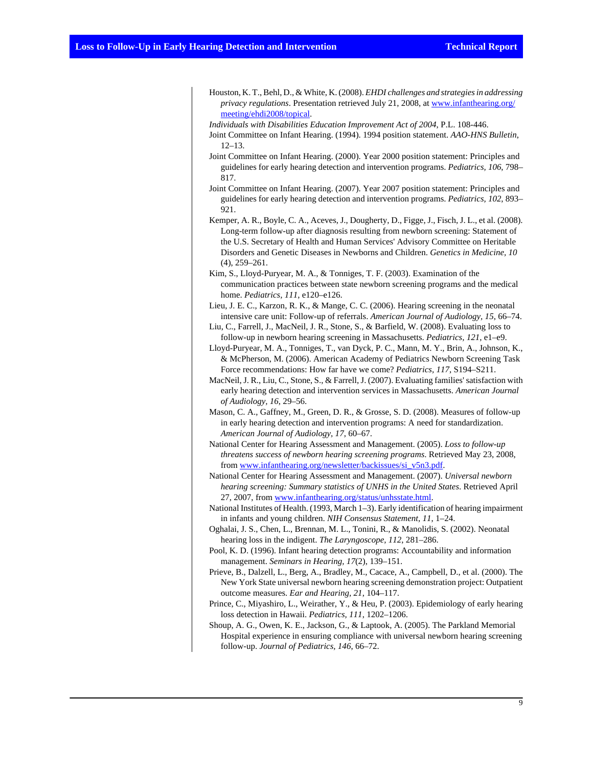- Houston, K. T., Behl, D., & White, K. (2008). *EHDI challenges and strategies in addressing privacy regulations*. Presentation retrieved July 21, 2008, at [www.infanthearing.org/](http://www.infanthearing.org/meeting/ehdi2008/topical) [meeting/ehdi2008/topical.](http://www.infanthearing.org/meeting/ehdi2008/topical)
- *Individuals with Disabilities Education Improvement Act of 2004*, P.L. 108-446.
- Joint Committee on Infant Hearing. (1994). 1994 position statement. *AAO-HNS Bulletin*, 12–13.
- Joint Committee on Infant Hearing. (2000). Year 2000 position statement: Principles and guidelines for early hearing detection and intervention programs. *Pediatrics, 106*, 798– 817.
- Joint Committee on Infant Hearing. (2007). Year 2007 position statement: Principles and guidelines for early hearing detection and intervention programs. *Pediatrics, 102*, 893– 921.
- Kemper, A. R., Boyle, C. A., Aceves, J., Dougherty, D., Figge, J., Fisch, J. L., et al. (2008). Long-term follow-up after diagnosis resulting from newborn screening: Statement of the U.S. Secretary of Health and Human Services' Advisory Committee on Heritable Disorders and Genetic Diseases in Newborns and Children. *Genetics in Medicine, 10* (4), 259–261.
- Kim, S., Lloyd-Puryear, M. A., & Tonniges, T. F. (2003). Examination of the communication practices between state newborn screening programs and the medical home. *Pediatrics, 111*, e120–e126.
- Lieu, J. E. C., Karzon, R. K., & Mange, C. C. (2006). Hearing screening in the neonatal intensive care unit: Follow-up of referrals. *American Journal of Audiology, 15*, 66–74.
- Liu, C., Farrell, J., MacNeil, J. R., Stone, S., & Barfield, W. (2008). Evaluating loss to follow-up in newborn hearing screening in Massachusetts. *Pediatrics, 121*, e1–e9.
- Lloyd-Puryear, M. A., Tonniges, T., van Dyck, P. C., Mann, M. Y., Brin, A., Johnson, K., & McPherson, M. (2006). American Academy of Pediatrics Newborn Screening Task Force recommendations: How far have we come? *Pediatrics, 117*, S194–S211.
- MacNeil, J. R., Liu, C., Stone, S., & Farrell, J. (2007). Evaluating families' satisfaction with early hearing detection and intervention services in Massachusetts. *American Journal of Audiology, 16*, 29–56.
- Mason, C. A., Gaffney, M., Green, D. R., & Grosse, S. D. (2008). Measures of follow-up in early hearing detection and intervention programs: A need for standardization. *American Journal of Audiology, 17*, 60–67.
- National Center for Hearing Assessment and Management. (2005). *Loss to follow-up threatens success of newborn hearing screening programs*. Retrieved May 23, 2008, from [www.infanthearing.org/newsletter/backissues/si\\_v5n3.pdf](http://www.infanthearing.org/newsletter/backissues/si_v5n3.pdf).
- National Center for Hearing Assessment and Management. (2007). *Universal newborn hearing screening: Summary statistics of UNHS in the United States*. Retrieved April 27, 2007, from [www.infanthearing.org/status/unhsstate.html](http://www.infanthearing.org/status/unhsstate.html).
- National Institutes of Health. (1993, March 1–3). Early identification of hearing impairment in infants and young children. *NIH Consensus Statement, 11*, 1–24.
- Oghalai, J. S., Chen, L., Brennan, M. L., Tonini, R., & Manolidis, S. (2002). Neonatal hearing loss in the indigent. *The Laryngoscope, 112*, 281–286.
- Pool, K. D. (1996). Infant hearing detection programs: Accountability and information management. *Seminars in Hearing, 17*(2), 139–151.
- Prieve, B., Dalzell, L., Berg, A., Bradley, M., Cacace, A., Campbell, D., et al. (2000). The New York State universal newborn hearing screening demonstration project: Outpatient outcome measures. *Ear and Hearing, 21*, 104–117.
- Prince, C., Miyashiro, L., Weirather, Y., & Heu, P. (2003). Epidemiology of early hearing loss detection in Hawaii. *Pediatrics, 111*, 1202–1206.
- Shoup, A. G., Owen, K. E., Jackson, G., & Laptook, A. (2005). The Parkland Memorial Hospital experience in ensuring compliance with universal newborn hearing screening follow-up. *Journal of Pediatrics, 146*, 66–72.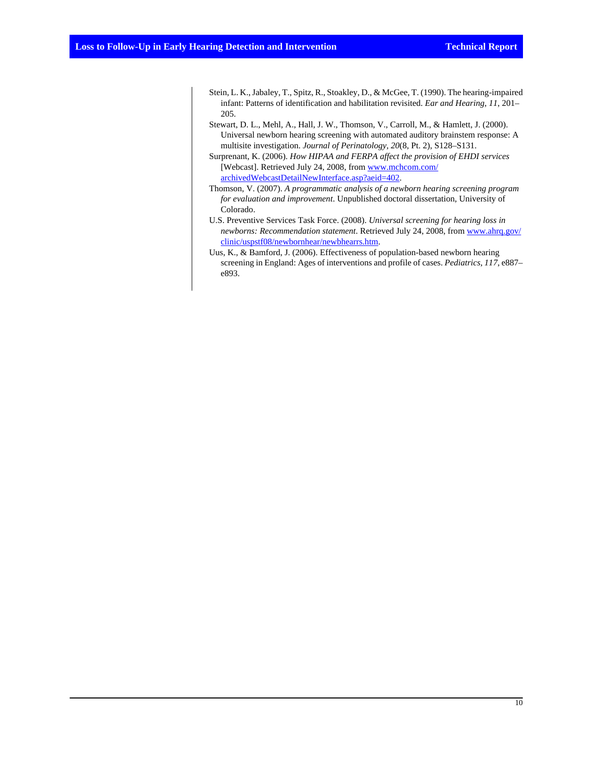- Stein, L. K., Jabaley, T., Spitz, R., Stoakley, D., & McGee, T. (1990). The hearing-impaired infant: Patterns of identification and habilitation revisited. *Ear and Hearing, 11*, 201– 205.
- Stewart, D. L., Mehl, A., Hall, J. W., Thomson, V., Carroll, M., & Hamlett, J. (2000). Universal newborn hearing screening with automated auditory brainstem response: A multisite investigation. *Journal of Perinatology, 20*(8, Pt. 2), S128–S131.

Surprenant, K. (2006). *How HIPAA and FERPA affect the provision of EHDI services* [Webcast]. Retrieved July 24, 2008, from [www.mchcom.com/](http://www.mchcom.com/archivedWebcastDetailNewInterface.asp?aeid=402) [archivedWebcastDetailNewInterface.asp?aeid=402.](http://www.mchcom.com/archivedWebcastDetailNewInterface.asp?aeid=402)

- Thomson, V. (2007). *A programmatic analysis of a newborn hearing screening program for evaluation and improvement*. Unpublished doctoral dissertation, University of Colorado.
- U.S. Preventive Services Task Force. (2008). *Universal screening for hearing loss in newborns: Recommendation statement*. Retrieved July 24, 2008, from [www.ahrq.gov/](http://www.ahrq.gov/clinic/uspstf08/newbornhear/newbhearrs.htm) [clinic/uspstf08/newbornhear/newbhearrs.htm.](http://www.ahrq.gov/clinic/uspstf08/newbornhear/newbhearrs.htm)
- Uus, K., & Bamford, J. (2006). Effectiveness of population-based newborn hearing screening in England: Ages of interventions and profile of cases. *Pediatrics, 117*, e887– e893.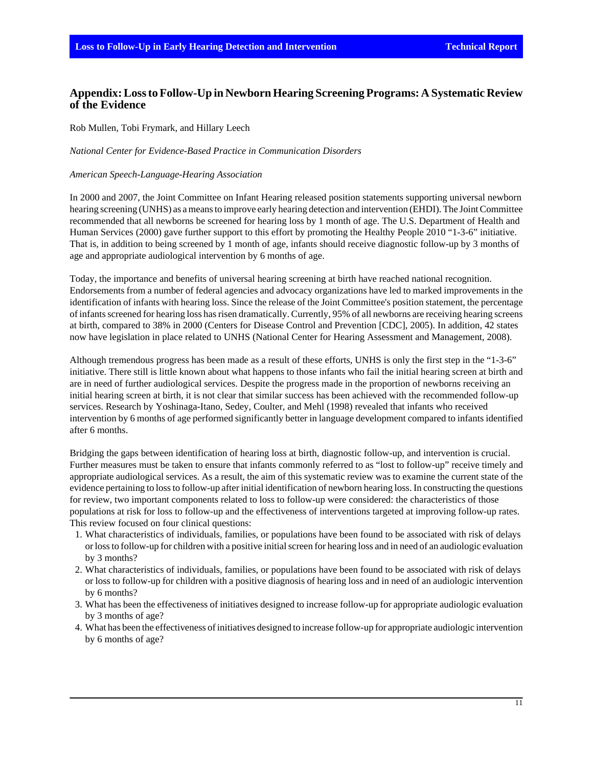# **Appendix: Loss to Follow-Up in Newborn Hearing Screening Programs: A Systematic Review of the Evidence**

Rob Mullen, Tobi Frymark, and Hillary Leech

#### *National Center for Evidence-Based Practice in Communication Disorders*

#### *American Speech-Language-Hearing Association*

In 2000 and 2007, the Joint Committee on Infant Hearing released position statements supporting universal newborn hearing screening (UNHS) as a means to improve early hearing detection and intervention (EHDI). The Joint Committee recommended that all newborns be screened for hearing loss by 1 month of age. The U.S. Department of Health and Human Services (2000) gave further support to this effort by promoting the Healthy People 2010 "1-3-6" initiative. That is, in addition to being screened by 1 month of age, infants should receive diagnostic follow-up by 3 months of age and appropriate audiological intervention by 6 months of age.

Today, the importance and benefits of universal hearing screening at birth have reached national recognition. Endorsements from a number of federal agencies and advocacy organizations have led to marked improvements in the identification of infants with hearing loss. Since the release of the Joint Committee's position statement, the percentage of infants screened for hearing loss has risen dramatically. Currently, 95% of all newborns are receiving hearing screens at birth, compared to 38% in 2000 (Centers for Disease Control and Prevention [CDC], 2005). In addition, 42 states now have legislation in place related to UNHS (National Center for Hearing Assessment and Management, 2008).

Although tremendous progress has been made as a result of these efforts, UNHS is only the first step in the "1-3-6" initiative. There still is little known about what happens to those infants who fail the initial hearing screen at birth and are in need of further audiological services. Despite the progress made in the proportion of newborns receiving an initial hearing screen at birth, it is not clear that similar success has been achieved with the recommended follow-up services. Research by Yoshinaga-Itano, Sedey, Coulter, and Mehl (1998) revealed that infants who received intervention by 6 months of age performed significantly better in language development compared to infants identified after 6 months.

Bridging the gaps between identification of hearing loss at birth, diagnostic follow-up, and intervention is crucial. Further measures must be taken to ensure that infants commonly referred to as "lost to follow-up" receive timely and appropriate audiological services. As a result, the aim of this systematic review was to examine the current state of the evidence pertaining to loss to follow-up after initial identification of newborn hearing loss. In constructing the questions for review, two important components related to loss to follow-up were considered: the characteristics of those populations at risk for loss to follow-up and the effectiveness of interventions targeted at improving follow-up rates. This review focused on four clinical questions:

- 1. What characteristics of individuals, families, or populations have been found to be associated with risk of delays or loss to follow-up for children with a positive initial screen for hearing loss and in need of an audiologic evaluation by 3 months?
- 2. What characteristics of individuals, families, or populations have been found to be associated with risk of delays or loss to follow-up for children with a positive diagnosis of hearing loss and in need of an audiologic intervention by 6 months?
- 3. What has been the effectiveness of initiatives designed to increase follow-up for appropriate audiologic evaluation by 3 months of age?
- 4. What has been the effectiveness of initiatives designed to increase follow-up for appropriate audiologic intervention by 6 months of age?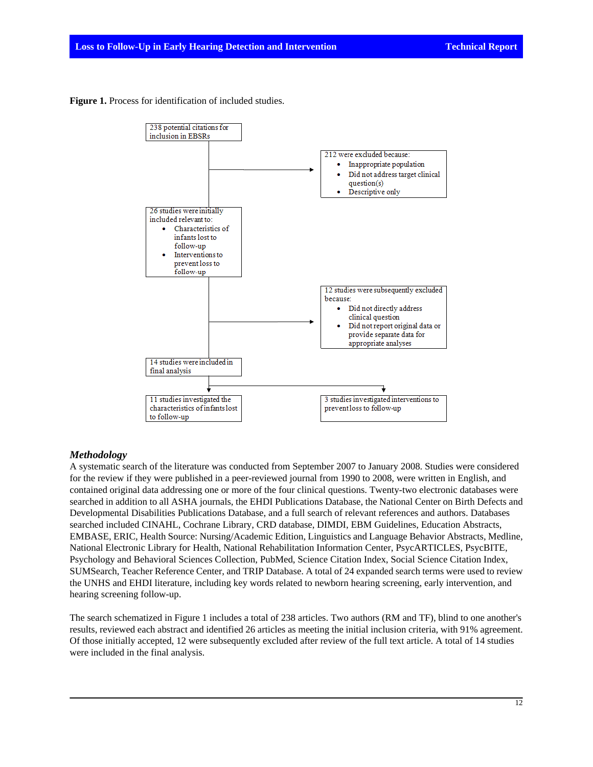**Figure 1.** Process for identification of included studies.



#### *Methodology*

A systematic search of the literature was conducted from September 2007 to January 2008. Studies were considered for the review if they were published in a peer-reviewed journal from 1990 to 2008, were written in English, and contained original data addressing one or more of the four clinical questions. Twenty-two electronic databases were searched in addition to all ASHA journals, the EHDI Publications Database, the National Center on Birth Defects and Developmental Disabilities Publications Database, and a full search of relevant references and authors. Databases searched included CINAHL, Cochrane Library, CRD database, DIMDI, EBM Guidelines, Education Abstracts, EMBASE, ERIC, Health Source: Nursing/Academic Edition, Linguistics and Language Behavior Abstracts, Medline, National Electronic Library for Health, National Rehabilitation Information Center, PsycARTICLES, PsycBITE, Psychology and Behavioral Sciences Collection, PubMed, Science Citation Index, Social Science Citation Index, SUMSearch, Teacher Reference Center, and TRIP Database. A total of 24 expanded search terms were used to review the UNHS and EHDI literature, including key words related to newborn hearing screening, early intervention, and hearing screening follow-up.

The search schematized in Figure 1 includes a total of 238 articles. Two authors (RM and TF), blind to one another's results, reviewed each abstract and identified 26 articles as meeting the initial inclusion criteria, with 91% agreement. Of those initially accepted, 12 were subsequently excluded after review of the full text article. A total of 14 studies were included in the final analysis.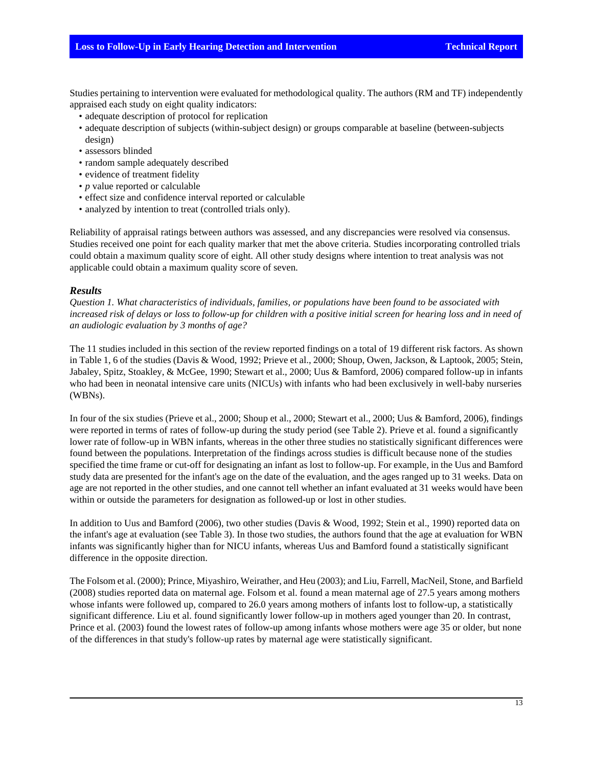Studies pertaining to intervention were evaluated for methodological quality. The authors (RM and TF) independently appraised each study on eight quality indicators:

- adequate description of protocol for replication
- adequate description of subjects (within-subject design) or groups comparable at baseline (between-subjects design)
- assessors blinded
- random sample adequately described
- evidence of treatment fidelity
- *p* value reported or calculable
- effect size and confidence interval reported or calculable
- analyzed by intention to treat (controlled trials only).

Reliability of appraisal ratings between authors was assessed, and any discrepancies were resolved via consensus. Studies received one point for each quality marker that met the above criteria. Studies incorporating controlled trials could obtain a maximum quality score of eight. All other study designs where intention to treat analysis was not applicable could obtain a maximum quality score of seven.

#### *Results*

*Question 1. What characteristics of individuals, families, or populations have been found to be associated with increased risk of delays or loss to follow-up for children with a positive initial screen for hearing loss and in need of an audiologic evaluation by 3 months of age?*

The 11 studies included in this section of the review reported findings on a total of 19 different risk factors. As shown in Table 1, 6 of the studies (Davis & Wood, 1992; Prieve et al., 2000; Shoup, Owen, Jackson, & Laptook, 2005; Stein, Jabaley, Spitz, Stoakley, & McGee, 1990; Stewart et al., 2000; Uus & Bamford, 2006) compared follow-up in infants who had been in neonatal intensive care units (NICUs) with infants who had been exclusively in well-baby nurseries (WBNs).

In four of the six studies (Prieve et al., 2000; Shoup et al., 2000; Stewart et al., 2000; Uus & Bamford, 2006), findings were reported in terms of rates of follow-up during the study period (see Table 2). Prieve et al. found a significantly lower rate of follow-up in WBN infants, whereas in the other three studies no statistically significant differences were found between the populations. Interpretation of the findings across studies is difficult because none of the studies specified the time frame or cut-off for designating an infant as lost to follow-up. For example, in the Uus and Bamford study data are presented for the infant's age on the date of the evaluation, and the ages ranged up to 31 weeks. Data on age are not reported in the other studies, and one cannot tell whether an infant evaluated at 31 weeks would have been within or outside the parameters for designation as followed-up or lost in other studies.

In addition to Uus and Bamford (2006), two other studies (Davis & Wood, 1992; Stein et al., 1990) reported data on the infant's age at evaluation (see Table 3). In those two studies, the authors found that the age at evaluation for WBN infants was significantly higher than for NICU infants, whereas Uus and Bamford found a statistically significant difference in the opposite direction.

The Folsom et al. (2000); Prince, Miyashiro, Weirather, and Heu (2003); and Liu, Farrell, MacNeil, Stone, and Barfield (2008) studies reported data on maternal age. Folsom et al. found a mean maternal age of 27.5 years among mothers whose infants were followed up, compared to 26.0 years among mothers of infants lost to follow-up, a statistically significant difference. Liu et al. found significantly lower follow-up in mothers aged younger than 20. In contrast, Prince et al. (2003) found the lowest rates of follow-up among infants whose mothers were age 35 or older, but none of the differences in that study's follow-up rates by maternal age were statistically significant.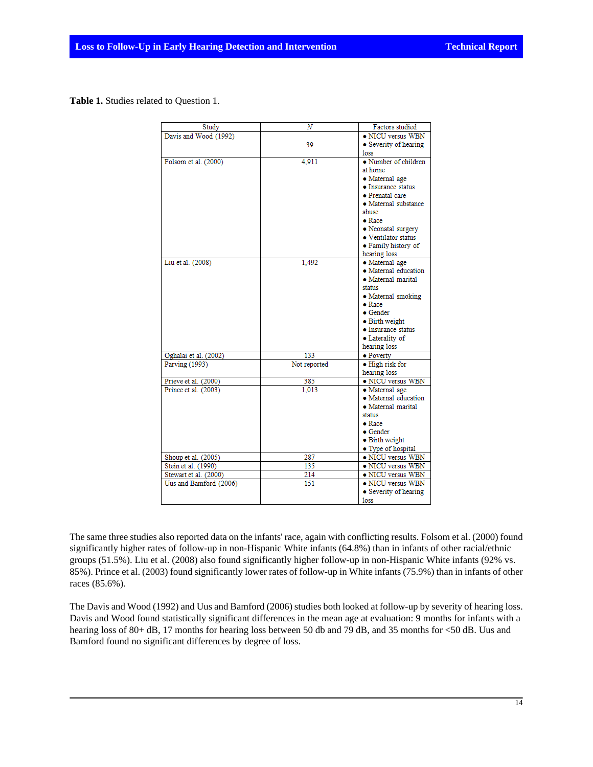**Table 1.** Studies related to Question 1.

| Study                  | Ν            | Factors studied       |
|------------------------|--------------|-----------------------|
| Davis and Wood (1992)  |              | • NICU versus WBN     |
|                        | 39           | • Severity of hearing |
|                        |              | <b>loss</b>           |
| Folsom et al. (2000)   | 4,911        | • Number of children  |
|                        |              | at home               |
|                        |              | • Maternal age        |
|                        |              | • Insurance status    |
|                        |              | • Prenatal care       |
|                        |              | • Maternal substance  |
|                        |              | abuse                 |
|                        |              | $\bullet$ Race        |
|                        |              | • Neonatal surgery    |
|                        |              | • Ventilator status   |
|                        |              | • Family history of   |
|                        |              | hearing loss          |
| Liu et al. (2008)      | 1.492        | · Maternal age        |
|                        |              | · Maternal education  |
|                        |              | · Maternal marital    |
|                        |              | status                |
|                        |              | • Maternal smoking    |
|                        |              | $\bullet$ Race        |
|                        |              | • Gender              |
|                        |              | • Birth weight        |
|                        |              | • Insurance status    |
|                        |              | • Laterality of       |
|                        |              | hearing loss          |
| Oghalai et al. (2002)  | 133          | • Poverty             |
| Parving (1993)         | Not reported | • High risk for       |
|                        |              | hearing loss          |
| Prieve et al. (2000)   | 385          | • NICU versus WBN     |
| Prince et al. (2003)   | 1.013        | · Maternal age        |
|                        |              | · Maternal education  |
|                        |              | · Maternal marital    |
|                        |              | status                |
|                        |              | $\bullet$ Race        |
|                        |              | • Gender              |
|                        |              | • Birth weight        |
|                        |              | • Type of hospital    |
| Shoup et al. (2005)    | 287          | • NICU versus WBN     |
| Stein et al. (1990)    | 135          | • NICU versus WBN     |
| Stewart et al. (2000)  | 214          | · NICU versus WBN     |
| Uus and Bamford (2006) | 151          | • NICU versus WBN     |
|                        |              | • Severity of hearing |
|                        |              | loss                  |

The same three studies also reported data on the infants' race, again with conflicting results. Folsom et al. (2000) found significantly higher rates of follow-up in non-Hispanic White infants (64.8%) than in infants of other racial/ethnic groups (51.5%). Liu et al. (2008) also found significantly higher follow-up in non-Hispanic White infants (92% vs. 85%). Prince et al. (2003) found significantly lower rates of follow-up in White infants (75.9%) than in infants of other races (85.6%).

The Davis and Wood (1992) and Uus and Bamford (2006) studies both looked at follow-up by severity of hearing loss. Davis and Wood found statistically significant differences in the mean age at evaluation: 9 months for infants with a hearing loss of 80+ dB, 17 months for hearing loss between 50 db and 79 dB, and 35 months for <50 dB. Uus and Bamford found no significant differences by degree of loss.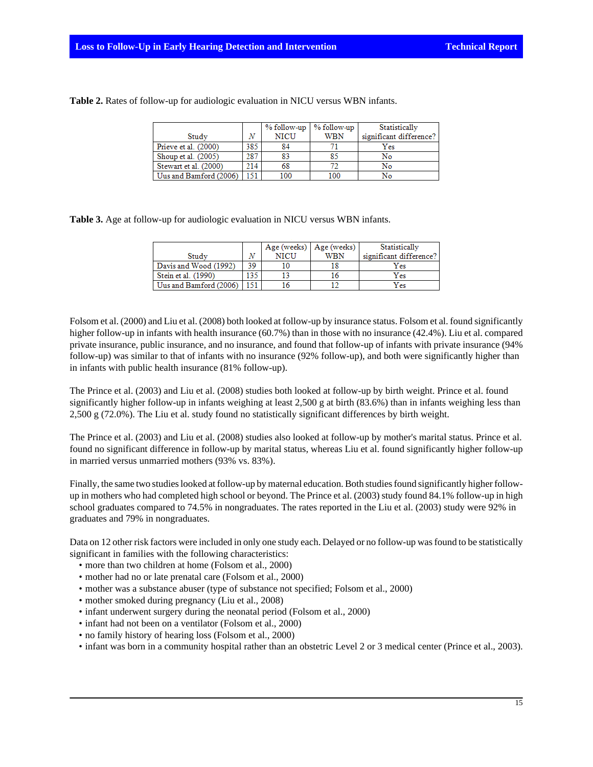|                        |     |             | $%$ follow-up $ %$ follow-up | Statistically           |
|------------------------|-----|-------------|------------------------------|-------------------------|
| Study                  | N   | <b>NICU</b> | WBN                          | significant difference? |
| Prieve et al. (2000)   | 385 | 84          |                              | Yes                     |
| Shoup et al. (2005)    | 287 | 83          | 85                           | No                      |
| Stewart et al. (2000)  | 214 | 68          |                              | No                      |
| Uus and Bamford (2006) | 151 | 100         | 100                          | No                      |

**Table 2.** Rates of follow-up for audiologic evaluation in NICU versus WBN infants.

**Table 3.** Age at follow-up for audiologic evaluation in NICU versus WBN infants.

|                        |     |      | Age (weeks)   Age (weeks) | Statistically           |
|------------------------|-----|------|---------------------------|-------------------------|
| Study                  |     | NICU | <b>WBN</b>                | significant difference? |
| Davis and Wood (1992)  | 39  |      |                           | Yes                     |
| Stein et al. (1990)    | 135 |      |                           | Yes                     |
| Uus and Bamford (2006) | 151 |      |                           | Yes                     |

Folsom et al. (2000) and Liu et al. (2008) both looked at follow-up by insurance status. Folsom et al. found significantly higher follow-up in infants with health insurance (60.7%) than in those with no insurance (42.4%). Liu et al. compared private insurance, public insurance, and no insurance, and found that follow-up of infants with private insurance (94% follow-up) was similar to that of infants with no insurance (92% follow-up), and both were significantly higher than in infants with public health insurance (81% follow-up).

The Prince et al. (2003) and Liu et al. (2008) studies both looked at follow-up by birth weight. Prince et al. found significantly higher follow-up in infants weighing at least 2,500 g at birth (83.6%) than in infants weighing less than 2,500 g (72.0%). The Liu et al. study found no statistically significant differences by birth weight.

The Prince et al. (2003) and Liu et al. (2008) studies also looked at follow-up by mother's marital status. Prince et al. found no significant difference in follow-up by marital status, whereas Liu et al. found significantly higher follow-up in married versus unmarried mothers (93% vs. 83%).

Finally, the same two studies looked at follow-up by maternal education. Both studies found significantly higher followup in mothers who had completed high school or beyond. The Prince et al. (2003) study found 84.1% follow-up in high school graduates compared to 74.5% in nongraduates. The rates reported in the Liu et al. (2003) study were 92% in graduates and 79% in nongraduates.

Data on 12 other risk factors were included in only one study each. Delayed or no follow-up was found to be statistically significant in families with the following characteristics:

- more than two children at home (Folsom et al., 2000)
- mother had no or late prenatal care (Folsom et al., 2000)
- mother was a substance abuser (type of substance not specified; Folsom et al., 2000)
- mother smoked during pregnancy (Liu et al., 2008)
- infant underwent surgery during the neonatal period (Folsom et al., 2000)
- infant had not been on a ventilator (Folsom et al., 2000)
- no family history of hearing loss (Folsom et al., 2000)
- infant was born in a community hospital rather than an obstetric Level 2 or 3 medical center (Prince et al., 2003).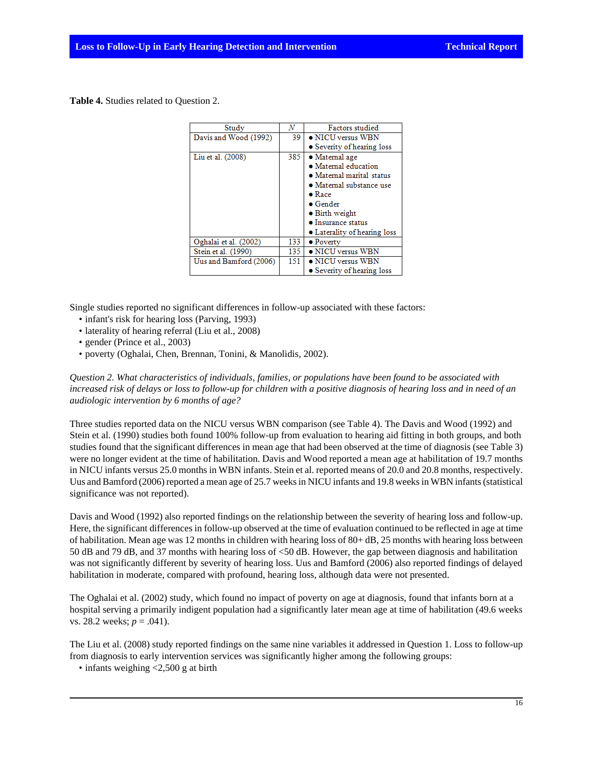**Table 4.** Studies related to Question 2.

| Study                  | N                       | <b>Factors</b> studied       |
|------------------------|-------------------------|------------------------------|
| Davis and Wood (1992)  | 39<br>• NICU versus WBN |                              |
|                        |                         | • Severity of hearing loss   |
| Liu et al. (2008)      | 385                     | • Matemal age                |
|                        |                         | · Maternal education         |
|                        |                         | • Matemal marital status     |
|                        |                         | • Matemal substance use      |
|                        |                         | $\bullet$ Race               |
|                        |                         | $\bullet$ Gender             |
|                        |                         | • Birth weight               |
|                        |                         | • Insurance status           |
|                        |                         | • Laterality of hearing loss |
| Oghalai et al. (2002)  | 133                     | • Poverty                    |
| Stein et al. (1990)    | 135                     | • NICU versus WBN            |
| Uus and Bamford (2006) | 151                     | $\bullet$ NICU versus WBN    |
|                        |                         | • Severity of hearing loss   |

Single studies reported no significant differences in follow-up associated with these factors:

- infant's risk for hearing loss (Parving, 1993)
- laterality of hearing referral (Liu et al., 2008)
- gender (Prince et al., 2003)
- poverty (Oghalai, Chen, Brennan, Tonini, & Manolidis, 2002).

*Question 2. What characteristics of individuals, families, or populations have been found to be associated with increased risk of delays or loss to follow-up for children with a positive diagnosis of hearing loss and in need of an audiologic intervention by 6 months of age?*

Three studies reported data on the NICU versus WBN comparison (see Table 4). The Davis and Wood (1992) and Stein et al. (1990) studies both found 100% follow-up from evaluation to hearing aid fitting in both groups, and both studies found that the significant differences in mean age that had been observed at the time of diagnosis (see Table 3) were no longer evident at the time of habilitation. Davis and Wood reported a mean age at habilitation of 19.7 months in NICU infants versus 25.0 months in WBN infants. Stein et al. reported means of 20.0 and 20.8 months, respectively. Uus and Bamford (2006) reported a mean age of 25.7 weeks in NICU infants and 19.8 weeks in WBN infants (statistical significance was not reported).

Davis and Wood (1992) also reported findings on the relationship between the severity of hearing loss and follow-up. Here, the significant differences in follow-up observed at the time of evaluation continued to be reflected in age at time of habilitation. Mean age was 12 months in children with hearing loss of 80+ dB, 25 months with hearing loss between 50 dB and 79 dB, and 37 months with hearing loss of <50 dB. However, the gap between diagnosis and habilitation was not significantly different by severity of hearing loss. Uus and Bamford (2006) also reported findings of delayed habilitation in moderate, compared with profound, hearing loss, although data were not presented.

The Oghalai et al. (2002) study, which found no impact of poverty on age at diagnosis, found that infants born at a hospital serving a primarily indigent population had a significantly later mean age at time of habilitation (49.6 weeks vs. 28.2 weeks;  $p = .041$ ).

The Liu et al. (2008) study reported findings on the same nine variables it addressed in Question 1. Loss to follow-up from diagnosis to early intervention services was significantly higher among the following groups:

• infants weighing <2,500 g at birth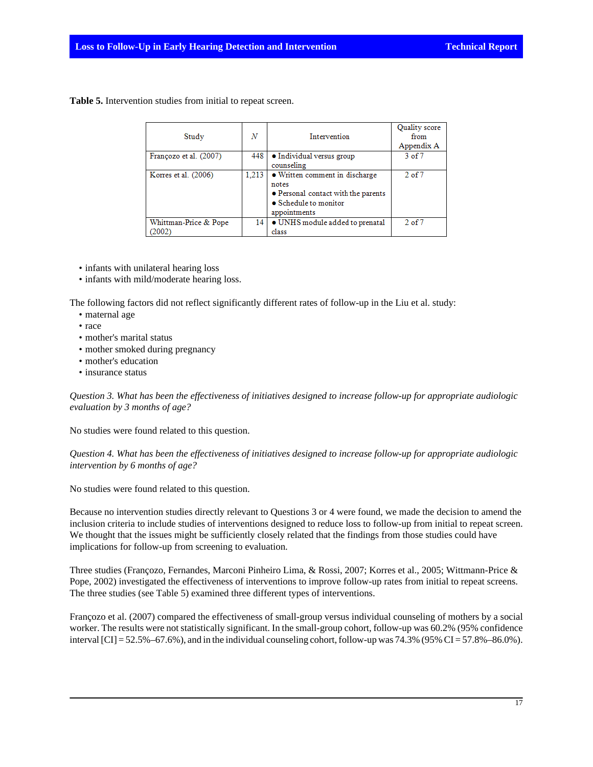**Table 5.** Intervention studies from initial to repeat screen.

| Study                          | N               | Intervention                                                                                                            | Quality score<br>from<br>Appendix A |
|--------------------------------|-----------------|-------------------------------------------------------------------------------------------------------------------------|-------------------------------------|
| Françozo et al. (2007)         | 448             | • Individual versus group<br>counseling                                                                                 | $3$ of $7$                          |
| Korres et al. (2006)           | 1,213           | • Written comment in discharge<br>notes<br>• Personal contact with the parents<br>• Schedule to monitor<br>appointments | $2$ of $7$                          |
| Whittman-Price & Pope<br>2002) | 14 <sup>1</sup> | • UNHS module added to prenatal<br>class                                                                                | $2$ of $7$                          |

• infants with unilateral hearing loss

• infants with mild/moderate hearing loss.

The following factors did not reflect significantly different rates of follow-up in the Liu et al. study:

- maternal age
- race
- mother's marital status
- mother smoked during pregnancy
- mother's education
- insurance status

*Question 3. What has been the effectiveness of initiatives designed to increase follow-up for appropriate audiologic evaluation by 3 months of age?*

No studies were found related to this question.

*Question 4. What has been the effectiveness of initiatives designed to increase follow-up for appropriate audiologic intervention by 6 months of age?*

No studies were found related to this question.

Because no intervention studies directly relevant to Questions 3 or 4 were found, we made the decision to amend the inclusion criteria to include studies of interventions designed to reduce loss to follow-up from initial to repeat screen. We thought that the issues might be sufficiently closely related that the findings from those studies could have implications for follow-up from screening to evaluation.

Three studies (Françozo, Fernandes, Marconi Pinheiro Lima, & Rossi, 2007; Korres et al., 2005; Wittmann-Price & Pope, 2002) investigated the effectiveness of interventions to improve follow-up rates from initial to repeat screens. The three studies (see Table 5) examined three different types of interventions.

Françozo et al. (2007) compared the effectiveness of small-group versus individual counseling of mothers by a social worker. The results were not statistically significant. In the small-group cohort, follow-up was 60.2% (95% confidence interval  $\text{[CI]} = 52.5\% - 67.6\%$ ), and in the individual counseling cohort, follow-up was 74.3% (95% CI = 57.8%–86.0%).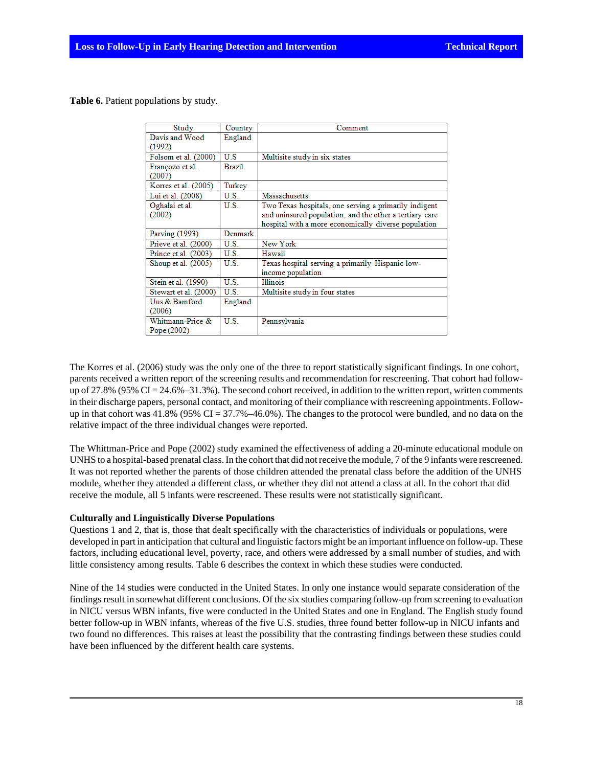**Table 6.** Patient populations by study.

| Study                             | Country       | Comment                                                                                                                                                                  |
|-----------------------------------|---------------|--------------------------------------------------------------------------------------------------------------------------------------------------------------------------|
| Davis and Wood<br>(1992)          | England       |                                                                                                                                                                          |
| Folsom et al. (2000)              | U.S           | Multisite study in six states                                                                                                                                            |
| Françozo et al.<br>(2007)         | <b>Brazil</b> |                                                                                                                                                                          |
| Korres et al. (2005)              | Turkey        |                                                                                                                                                                          |
| Lui et al. (2008)                 | U.S.          | Massachusetts                                                                                                                                                            |
| Oghalai et al.<br>(2002)          | U.S.          | Two Texas hospitals, one serving a primarily indigent<br>and uninsured population, and the other a tertiary care<br>hospital with a more economically diverse population |
| Parving (1993)                    | Denmark       |                                                                                                                                                                          |
| Prieve et al. (2000)              | U.S.          | New York                                                                                                                                                                 |
| Prince et al. (2003)              | U S -         | Hawaii                                                                                                                                                                   |
| Shoup et al. (2005)               | U.S.          | Texas hospital serving a primarily Hispanic low-<br>income population                                                                                                    |
| Stein et al. (1990)               | U.S.          | <b>Illinois</b>                                                                                                                                                          |
| Stewart et al. (2000)             | U.S.          | Multisite study in four states                                                                                                                                           |
| Uus & Bamford<br>(2006)           | England       |                                                                                                                                                                          |
| Whitmann-Price &<br>Pope $(2002)$ | U.S.          | Pennsylvania                                                                                                                                                             |

The Korres et al. (2006) study was the only one of the three to report statistically significant findings. In one cohort, parents received a written report of the screening results and recommendation for rescreening. That cohort had followup of  $27.8\%$  (95% CI =  $24.6\%$  –31.3%). The second cohort received, in addition to the written report, written comments in their discharge papers, personal contact, and monitoring of their compliance with rescreening appointments. Followup in that cohort was  $41.8\%$  (95% CI = 37.7%–46.0%). The changes to the protocol were bundled, and no data on the relative impact of the three individual changes were reported.

The Whittman-Price and Pope (2002) study examined the effectiveness of adding a 20-minute educational module on UNHS to a hospital-based prenatal class. In the cohort that did not receive the module, 7 of the 9 infants were rescreened. It was not reported whether the parents of those children attended the prenatal class before the addition of the UNHS module, whether they attended a different class, or whether they did not attend a class at all. In the cohort that did receive the module, all 5 infants were rescreened. These results were not statistically significant.

#### **Culturally and Linguistically Diverse Populations**

Questions 1 and 2, that is, those that dealt specifically with the characteristics of individuals or populations, were developed in part in anticipation that cultural and linguistic factors might be an important influence on follow-up. These factors, including educational level, poverty, race, and others were addressed by a small number of studies, and with little consistency among results. Table 6 describes the context in which these studies were conducted.

Nine of the 14 studies were conducted in the United States. In only one instance would separate consideration of the findings result in somewhat different conclusions. Of the six studies comparing follow-up from screening to evaluation in NICU versus WBN infants, five were conducted in the United States and one in England. The English study found better follow-up in WBN infants, whereas of the five U.S. studies, three found better follow-up in NICU infants and two found no differences. This raises at least the possibility that the contrasting findings between these studies could have been influenced by the different health care systems.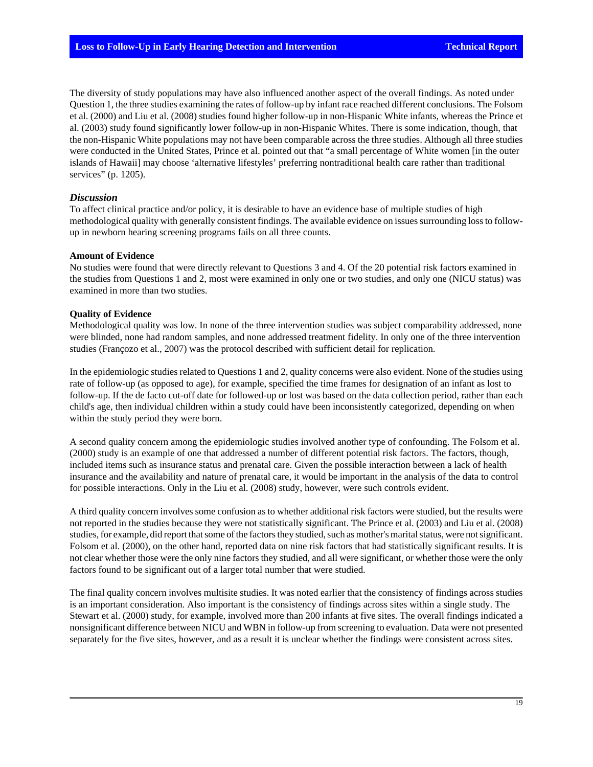The diversity of study populations may have also influenced another aspect of the overall findings. As noted under Question 1, the three studies examining the rates of follow-up by infant race reached different conclusions. The Folsom et al. (2000) and Liu et al. (2008) studies found higher follow-up in non-Hispanic White infants, whereas the Prince et al. (2003) study found significantly lower follow-up in non-Hispanic Whites. There is some indication, though, that the non-Hispanic White populations may not have been comparable across the three studies. Although all three studies were conducted in the United States, Prince et al. pointed out that "a small percentage of White women [in the outer islands of Hawaii] may choose 'alternative lifestyles' preferring nontraditional health care rather than traditional services" (p. 1205).

### *Discussion*

To affect clinical practice and/or policy, it is desirable to have an evidence base of multiple studies of high methodological quality with generally consistent findings. The available evidence on issues surrounding loss to followup in newborn hearing screening programs fails on all three counts.

#### **Amount of Evidence**

No studies were found that were directly relevant to Questions 3 and 4. Of the 20 potential risk factors examined in the studies from Questions 1 and 2, most were examined in only one or two studies, and only one (NICU status) was examined in more than two studies.

#### **Quality of Evidence**

Methodological quality was low. In none of the three intervention studies was subject comparability addressed, none were blinded, none had random samples, and none addressed treatment fidelity. In only one of the three intervention studies (Françozo et al., 2007) was the protocol described with sufficient detail for replication.

In the epidemiologic studies related to Questions 1 and 2, quality concerns were also evident. None of the studies using rate of follow-up (as opposed to age), for example, specified the time frames for designation of an infant as lost to follow-up. If the de facto cut-off date for followed-up or lost was based on the data collection period, rather than each child's age, then individual children within a study could have been inconsistently categorized, depending on when within the study period they were born.

A second quality concern among the epidemiologic studies involved another type of confounding. The Folsom et al. (2000) study is an example of one that addressed a number of different potential risk factors. The factors, though, included items such as insurance status and prenatal care. Given the possible interaction between a lack of health insurance and the availability and nature of prenatal care, it would be important in the analysis of the data to control for possible interactions. Only in the Liu et al. (2008) study, however, were such controls evident.

A third quality concern involves some confusion as to whether additional risk factors were studied, but the results were not reported in the studies because they were not statistically significant. The Prince et al. (2003) and Liu et al. (2008) studies, for example, did report that some of the factors they studied, such as mother's marital status, were not significant. Folsom et al. (2000), on the other hand, reported data on nine risk factors that had statistically significant results. It is not clear whether those were the only nine factors they studied, and all were significant, or whether those were the only factors found to be significant out of a larger total number that were studied.

The final quality concern involves multisite studies. It was noted earlier that the consistency of findings across studies is an important consideration. Also important is the consistency of findings across sites within a single study. The Stewart et al. (2000) study, for example, involved more than 200 infants at five sites. The overall findings indicated a nonsignificant difference between NICU and WBN in follow-up from screening to evaluation. Data were not presented separately for the five sites, however, and as a result it is unclear whether the findings were consistent across sites.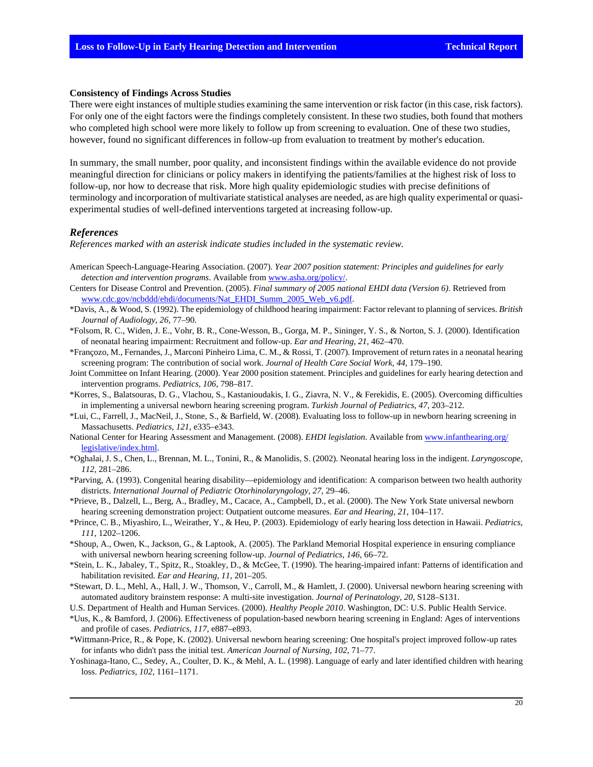#### **Consistency of Findings Across Studies**

There were eight instances of multiple studies examining the same intervention or risk factor (in this case, risk factors). For only one of the eight factors were the findings completely consistent. In these two studies, both found that mothers who completed high school were more likely to follow up from screening to evaluation. One of these two studies, however, found no significant differences in follow-up from evaluation to treatment by mother's education.

In summary, the small number, poor quality, and inconsistent findings within the available evidence do not provide meaningful direction for clinicians or policy makers in identifying the patients/families at the highest risk of loss to follow-up, nor how to decrease that risk. More high quality epidemiologic studies with precise definitions of terminology and incorporation of multivariate statistical analyses are needed, as are high quality experimental or quasiexperimental studies of well-defined interventions targeted at increasing follow-up.

#### *References*

*References marked with an asterisk indicate studies included in the systematic review.*

- American Speech-Language-Hearing Association. (2007). *Year 2007 position statement: Principles and guidelines for early detection and intervention programs*. Available from [www.asha.org/policy/.](http://www.asha.org/policy/)
- Centers for Disease Control and Prevention. (2005). *Final summary of 2005 national EHDI data (Version 6)*. Retrieved from [www.cdc.gov/ncbddd/ehdi/documents/Nat\\_EHDI\\_Summ\\_2005\\_Web\\_v6.pdf.](http://www.cdc.gov/ncbddd/ehdi/documents/Nat_EHDI_Summ_2005_Web_v6.pdf)
- \*Davis, A., & Wood, S. (1992). The epidemiology of childhood hearing impairment: Factor relevant to planning of services. *British Journal of Audiology, 26*, 77–90.
- \*Folsom, R. C., Widen, J. E., Vohr, B. R., Cone-Wesson, B., Gorga, M. P., Sininger, Y. S., & Norton, S. J. (2000). Identification of neonatal hearing impairment: Recruitment and follow-up. *Ear and Hearing, 21*, 462–470.
- \*Françozo, M., Fernandes, J., Marconi Pinheiro Lima, C. M., & Rossi, T. (2007). Improvement of return rates in a neonatal hearing screening program: The contribution of social work. *Journal of Health Care Social Work, 44*, 179–190.
- Joint Committee on Infant Hearing. (2000). Year 2000 position statement. Principles and guidelines for early hearing detection and intervention programs. *Pediatrics, 106*, 798–817.
- \*Korres, S., Balatsouras, D. G., Vlachou, S., Kastanioudakis, I. G., Ziavra, N. V., & Ferekidis, E. (2005). Overcoming difficulties in implementing a universal newborn hearing screening program. *Turkish Journal of Pediatrics, 47*, 203–212.
- \*Lui, C., Farrell, J., MacNeil, J., Stone, S., & Barfield, W. (2008). Evaluating loss to follow-up in newborn hearing screening in Massachusetts. *Pediatrics, 121*, e335–e343.
- National Center for Hearing Assessment and Management. (2008). *EHDI legislation*. Available from [www.infanthearing.org/](http://www.infanthearing.org/legislative/index.html) [legislative/index.html](http://www.infanthearing.org/legislative/index.html).
- \*Oghalai, J. S., Chen, L., Brennan, M. L., Tonini, R., & Manolidis, S. (2002). Neonatal hearing loss in the indigent. *Laryngoscope, 112*, 281–286.
- \*Parving, A. (1993). Congenital hearing disability—epidemiology and identification: A comparison between two health authority districts. *International Journal of Pediatric Otorhinolaryngology, 27*, 29–46.
- \*Prieve, B., Dalzell, L., Berg, A., Bradley, M., Cacace, A., Campbell, D., et al. (2000). The New York State universal newborn hearing screening demonstration project: Outpatient outcome measures. *Ear and Hearing, 21*, 104–117.
- \*Prince, C. B., Miyashiro, L., Weirather, Y., & Heu, P. (2003). Epidemiology of early hearing loss detection in Hawaii. *Pediatrics, 111*, 1202–1206.
- \*Shoup, A., Owen, K., Jackson, G., & Laptook, A. (2005). The Parkland Memorial Hospital experience in ensuring compliance with universal newborn hearing screening follow-up. *Journal of Pediatrics, 146*, 66–72.
- \*Stein, L. K., Jabaley, T., Spitz, R., Stoakley, D., & McGee, T. (1990). The hearing-impaired infant: Patterns of identification and habilitation revisited. *Ear and Hearing, 11*, 201–205.
- \*Stewart, D. L., Mehl, A., Hall, J. W., Thomson, V., Carroll, M., & Hamlett, J. (2000). Universal newborn hearing screening with automated auditory brainstem response: A multi-site investigation. *Journal of Perinatology, 20*, S128–S131.
- U.S. Department of Health and Human Services. (2000). *Healthy People 2010*. Washington, DC: U.S. Public Health Service.
- \*Uus, K., & Bamford, J. (2006). Effectiveness of population-based newborn hearing screening in England: Ages of interventions and profile of cases. *Pediatrics, 117*, e887–e893.
- \*Wittmann-Price, R., & Pope, K. (2002). Universal newborn hearing screening: One hospital's project improved follow-up rates for infants who didn't pass the initial test. *American Journal of Nursing, 102*, 71–77.
- Yoshinaga-Itano, C., Sedey, A., Coulter, D. K., & Mehl, A. L. (1998). Language of early and later identified children with hearing loss. *Pediatrics, 102*, 1161–1171.